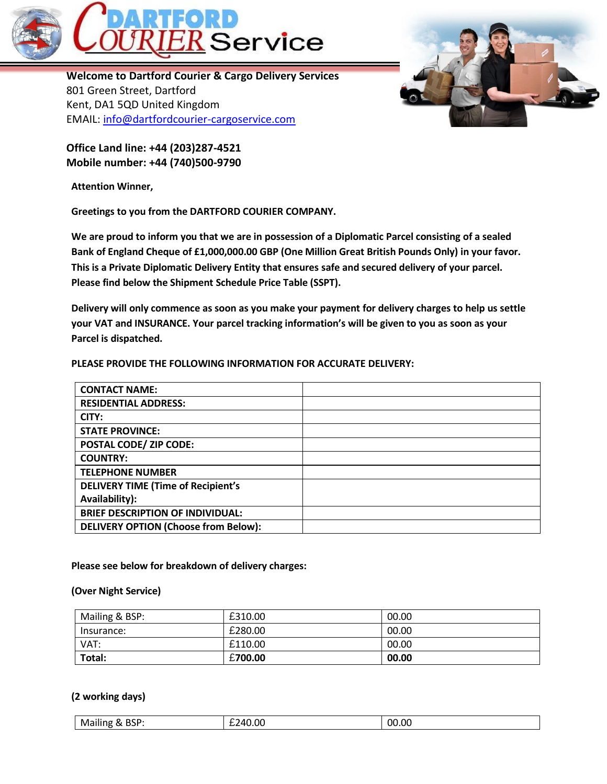

**Welcome to Dartford Courier & Cargo Delivery Services** 801 Green Street, Dartford Kent, DA1 5QD United Kingdom EMAIL: [info@dartfordcourier-cargoservice.com](mailto:info@dartfordcourier-cargoservice.com)

**Office Land line: +44 (203)287-4521 Mobile number: +44 (740)500-9790**

**Attention Winner,**

**Greetings to you from the DARTFORD COURIER COMPANY.**

**We are proud to inform you that we are in possession of a Diplomatic Parcel consisting of a sealed Bank of England Cheque of £1,000,000.00 GBP (One Million Great British Pounds Only) in your favor. This is a Private Diplomatic Delivery Entity that ensures safe and secured delivery of your parcel. Please find below the Shipment Schedule Price Table (SSPT).**

**Delivery will only commence as soon as you make your payment for delivery charges to help us settle your VAT and INSURANCE. Your parcel tracking information's will be given to you as soon as your Parcel is dispatched.**

## **PLEASE PROVIDE THE FOLLOWING INFORMATION FOR ACCURATE DELIVERY:**

| <b>CONTACT NAME:</b>                        |  |
|---------------------------------------------|--|
| <b>RESIDENTIAL ADDRESS:</b>                 |  |
| CITY:                                       |  |
| <b>STATE PROVINCE:</b>                      |  |
| <b>POSTAL CODE/ ZIP CODE:</b>               |  |
| <b>COUNTRY:</b>                             |  |
| <b>TELEPHONE NUMBER</b>                     |  |
| <b>DELIVERY TIME (Time of Recipient's</b>   |  |
| Availability):                              |  |
| <b>BRIEF DESCRIPTION OF INDIVIDUAL:</b>     |  |
| <b>DELIVERY OPTION (Choose from Below):</b> |  |

## **Please see below for breakdown of delivery charges:**

## **(Over Night Service)**

| Mailing & BSP: | £310.00 | 00.00 |
|----------------|---------|-------|
| Insurance:     | £280.00 | 00.00 |
| VAT:           | £110.00 | 00.00 |
| Total:         | £700.00 | 00.00 |

## **(2 working days)**

| <br>.<br>.<br>_____ |
|---------------------|
|---------------------|